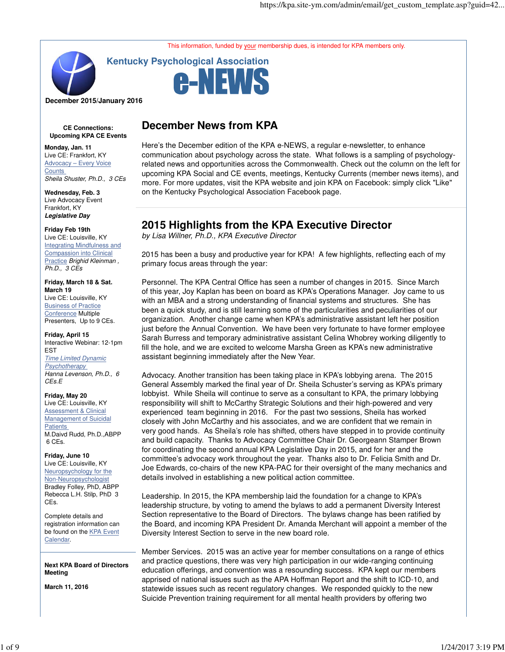This information, funded by your membership dues, is intended for KPA members only.



**Kentucky Psychological Association**



**December 2015/January 2016**

**CE Connections: Upcoming KPA CE Events**

**Monday, Jan. 11** Live CE: Frankfort, KY Advocacy – Every Voice **Counts** Sheila Shuster, Ph.D., 3 CEs

**Wednesday, Feb. 3** Live Advocacy Event Frankfort, KY **Legislative Day**

**Friday Feb 19th**

Live CE: Louisville, KY Integrating Mindfulness and Compassion into Clinical Practice Brighid Kleinman, Ph.D., 3 CEs

**Friday, March 18 & Sat. March 19** Live CE: Louisville, KY **Business of Practice** Conference Multiple Presenters, Up to 9 CEs.

**Friday, April 15** Interactive Webinar: 12-1pm EST

Time Limited Dynamic **Psychotherapy** Hanna Levenson, Ph.D., 6 CEs.E

**Friday, May 20** Live CE: Louisville, KY

Assessment & Clinical Management of Suicidal **Patients** M.Daivd Rudd, Ph.D.,ABPP 6 CEs.

**Friday, June 10** Live CE: Louisville, KY Neuropsychology for the Non-Neuropsychologist Bradley Folley, PhD, ABPP Rebecca L.H. Stilp, PhD 3 CEs.

Complete details and registration information can be found on the KPA Event Calendar.

**Next KPA Board of Directors Meeting**

**March 11, 2016**

# **December News from KPA**

Here's the December edition of the KPA e-NEWS, a regular e-newsletter, to enhance communication about psychology across the state. What follows is a sampling of psychologyrelated news and opportunities across the Commonwealth. Check out the column on the left for upcoming KPA Social and CE events, meetings, Kentucky Currents (member news items), and more. For more updates, visit the KPA website and join KPA on Facebook: simply click "Like" on the Kentucky Psychological Association Facebook page.

# **2015 Highlights from the KPA Executive Director**

by Lisa Willner, Ph.D., KPA Executive Director

2015 has been a busy and productive year for KPA! A few highlights, reflecting each of my primary focus areas through the year:

Personnel. The KPA Central Office has seen a number of changes in 2015. Since March of this year, Joy Kaplan has been on board as KPA's Operations Manager. Joy came to us with an MBA and a strong understanding of financial systems and structures. She has been a quick study, and is still learning some of the particularities and peculiarities of our organization. Another change came when KPA's administrative assistant left her position just before the Annual Convention. We have been very fortunate to have former employee Sarah Burress and temporary administrative assistant Celina Whobrey working diligently to fill the hole, and we are excited to welcome Marsha Green as KPA's new administrative assistant beginning immediately after the New Year.

Advocacy. Another transition has been taking place in KPA's lobbying arena. The 2015 General Assembly marked the final year of Dr. Sheila Schuster's serving as KPA's primary lobbyist. While Sheila will continue to serve as a consultant to KPA, the primary lobbying responsibility will shift to McCarthy Strategic Solutions and their high-powered and very experienced team beginning in 2016. For the past two sessions, Sheila has worked closely with John McCarthy and his associates, and we are confident that we remain in very good hands. As Sheila's role has shifted, others have stepped in to provide continuity and build capacity. Thanks to Advocacy Committee Chair Dr. Georgeann Stamper Brown for coordinating the second annual KPA Legislative Day in 2015, and for her and the committee's advocacy work throughout the year. Thanks also to Dr. Felicia Smith and Dr. Joe Edwards, co-chairs of the new KPA-PAC for their oversight of the many mechanics and details involved in establishing a new political action committee.

Leadership. In 2015, the KPA membership laid the foundation for a change to KPA's leadership structure, by voting to amend the bylaws to add a permanent Diversity Interest Section representative to the Board of Directors. The bylaws change has been ratified by the Board, and incoming KPA President Dr. Amanda Merchant will appoint a member of the Diversity Interest Section to serve in the new board role.

Member Services. 2015 was an active year for member consultations on a range of ethics and practice questions, there was very high participation in our wide-ranging continuing education offerings, and convention was a resounding success. KPA kept our members apprised of national issues such as the APA Hoffman Report and the shift to ICD-10, and statewide issues such as recent regulatory changes. We responded quickly to the new Suicide Prevention training requirement for all mental health providers by offering two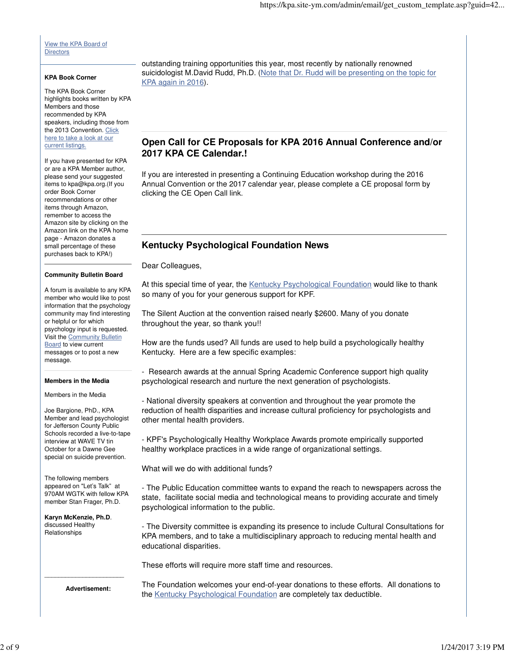View the KPA Board of **Directors** 

#### **KPA Book Corner**

The KPA Book Corner highlights books written by KPA Members and those recommended by KPA speakers, including those from the 2013 Convention. Click here to take a look at our current listings.

If you have presented for KPA or are a KPA Member author, please send your suggested items to kpa@kpa.org.(If you order Book Corner recommendations or other items through Amazon, remember to access the Amazon site by clicking on the Amazon link on the KPA home page - Amazon donates a small percentage of these purchases back to KPA!)

#### **Community Bulletin Board**

A forum is available to any KPA member who would like to post information that the psychology community may find interesting or helpful or for which psychology input is requested. Visit the Community Bulletin **Board** to view current messages or to post a new message.

#### **Members in the Media**

Members in the Media

Joe Bargione, PhD., KPA Member and lead psychologist for Jefferson County Public Schools recorded a live-to-tape interview at WAVE TV tin October for a Dawne Gee special on suicide prevention.

The following members appeared on "Let's Talk" at 970AM WGTK with fellow KPA member Stan Frager, Ph.D.

**Karyn McKenzie, Ph.D**. discussed Healthy Relationships

outstanding training opportunities this year, most recently by nationally renowned suicidologist M.David Rudd, Ph.D. (Note that Dr. Rudd will be presenting on the topic for KPA again in 2016).

## **Open Call for CE Proposals for KPA 2016 Annual Conference and/or 2017 KPA CE Calendar.!**

If you are interested in presenting a Continuing Education workshop during the 2016 Annual Convention or the 2017 calendar year, please complete a CE proposal form by clicking the CE Open Call link.

### **Kentucky Psychological Foundation News**

Dear Colleagues,

At this special time of year, the Kentucky Psychological Foundation would like to thank so many of you for your generous support for KPF.

The Silent Auction at the convention raised nearly \$2600. Many of you donate throughout the year, so thank you!!

How are the funds used? All funds are used to help build a psychologically healthy Kentucky. Here are a few specific examples:

- Research awards at the annual Spring Academic Conference support high quality psychological research and nurture the next generation of psychologists.

- National diversity speakers at convention and throughout the year promote the reduction of health disparities and increase cultural proficiency for psychologists and other mental health providers.

- KPF's Psychologically Healthy Workplace Awards promote empirically supported healthy workplace practices in a wide range of organizational settings.

What will we do with additional funds?

- The Public Education committee wants to expand the reach to newspapers across the state, facilitate social media and technological means to providing accurate and timely psychological information to the public.

- The Diversity committee is expanding its presence to include Cultural Consultations for KPA members, and to take a multidisciplinary approach to reducing mental health and educational disparities.

These efforts will require more staff time and resources.

**Advertisement:**

\_\_\_\_\_\_\_\_\_\_\_\_\_\_\_\_\_\_\_\_\_\_\_

The Foundation welcomes your end-of-year donations to these efforts. All donations to the Kentucky Psychological Foundation are completely tax deductible.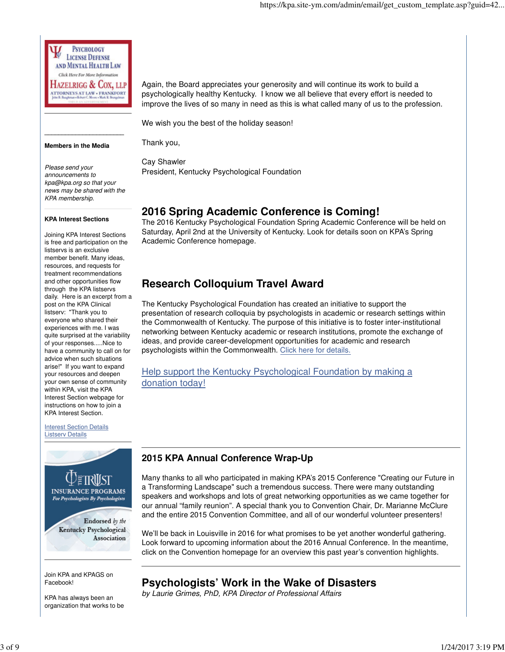**PSYCHOLOGY LICENSE DEFENSE** AND MENTAL HEALTH LAW Click Here For More Information Hazelrigg & Cox, llp **TTORNEYS AT LAW . FRANKFORT**<br>He R Bushnet Libri C New Chief, R Bushnet

#### **Members in the Media**

**\_\_\_\_\_\_\_\_\_\_\_\_\_\_\_\_\_\_\_\_\_\_\_**

Thank you,

Cay Shawler President, Kentucky Psychological Foundation

We wish you the best of the holiday season!

# **2016 Spring Academic Conference is Coming!**

The 2016 Kentucky Psychological Foundation Spring Academic Conference will be held on Saturday, April 2nd at the University of Kentucky. Look for details soon on KPA's Spring Academic Conference homepage.

Again, the Board appreciates your generosity and will continue its work to build a psychologically healthy Kentucky. I know we all believe that every effort is needed to improve the lives of so many in need as this is what called many of us to the profession.

# **Research Colloquium Travel Award**

The Kentucky Psychological Foundation has created an initiative to support the presentation of research colloquia by psychologists in academic or research settings within the Commonwealth of Kentucky. The purpose of this initiative is to foster inter-institutional networking between Kentucky academic or research institutions, promote the exchange of ideas, and provide career-development opportunities for academic and research psychologists within the Commonwealth. Click here for details.

## Help support the Kentucky Psychological Foundation by making a donation today!

# **2015 KPA Annual Conference Wrap-Up**

Many thanks to all who participated in making KPA's 2015 Conference "Creating our Future in a Transforming Landscape" such a tremendous success. There were many outstanding speakers and workshops and lots of great networking opportunities as we came together for our annual "family reunion". A special thank you to Convention Chair, Dr. Marianne McClure and the entire 2015 Convention Committee, and all of our wonderful volunteer presenters!

We'll be back in Louisville in 2016 for what promises to be yet another wonderful gathering. Look forward to upcoming information about the 2016 Annual Conference. In the meantime, click on the Convention homepage for an overview this past year's convention highlights.

# **Psychologists' Work in the Wake of Disasters**

by Laurie Grimes, PhD, KPA Director of Professional Affairs

Please send your announcements to kpa@kpa.org so that your news may be shared with the KPA membership.

#### **KPA Interest Sections**

Joining KPA Interest Sections is free and participation on the listservs is an exclusive member benefit. Many ideas, resources, and requests for treatment recommendations and other opportunities flow through the KPA listservs daily. Here is an excerpt from a post on the KPA Clinical listserv: "Thank you to everyone who shared their experiences with me. I was quite surprised at the variability of your responses.....Nice to have a community to call on for advice when such situations arise!" If you want to expand your resources and deepen your own sense of community within KPA, visit the KPA Interest Section webpage for instructions on how to join a KPA Interest Section.

**Interest Section Details** Listserv Details



Join KPA and KPAGS on Facebook!

KPA has always been an organization that works to be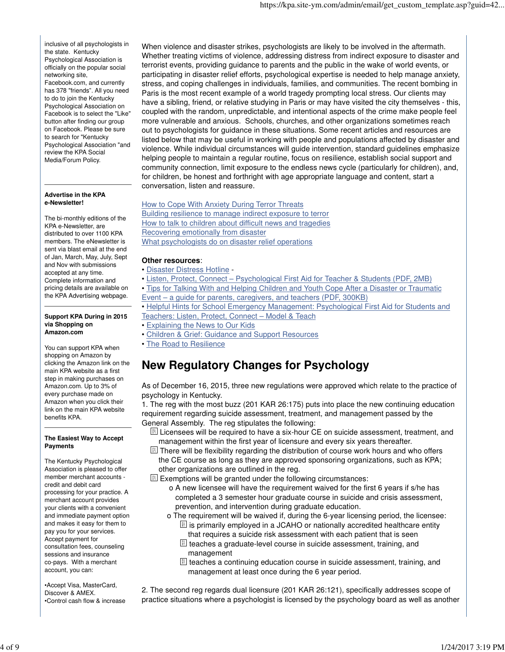inclusive of all psychologists in the state. Kentucky Psychological Association is officially on the popular social networking site, Facebook.com, and currently has 378 "friends". All you need to do to join the Kentucky Psychological Association on Facebook is to select the "Like" button after finding our group on Facebook. Please be sure to search for "Kentucky Psychological Association "and review the KPA Social Media/Forum Policy.

#### **Advertise in the KPA e-Newsletter!**

The bi-monthly editions of the KPA e-Newsletter, are distributed to over 1100 KPA members. The eNewsletter is sent via blast email at the end of Jan, March, May, July, Sept and Nov with submissions accepted at any time. Complete information and pricing details are available on the KPA Advertising webpage.

#### **Support KPA During in 2015 via Shopping on Amazon.com**

You can support KPA when shopping on Amazon by clicking the Amazon link on the main KPA website as a first step in making purchases on Amazon.com. Up to 3% of every purchase made on Amazon when you click their link on the main KPA website benefits KPA.

#### **The Easiest Way to Accept Payments**

The Kentucky Psychological Association is pleased to offer member merchant accounts credit and debit card processing for your practice. A merchant account provides your clients with a convenient and immediate payment option and makes it easy for them to pay you for your services. Accept payment for consultation fees, counseling sessions and insurance co-pays. With a merchant account, you can:

•Accept Visa, MasterCard, Discover & AMEX. •Control cash flow & increase When violence and disaster strikes, psychologists are likely to be involved in the aftermath. Whether treating victims of violence, addressing distress from indirect exposure to disaster and terrorist events, providing guidance to parents and the public in the wake of world events, or participating in disaster relief efforts, psychological expertise is needed to help manage anxiety, stress, and coping challenges in individuals, families, and communities. The recent bombing in Paris is the most recent example of a world tragedy prompting local stress. Our clients may have a sibling, friend, or relative studying in Paris or may have visited the city themselves - this, coupled with the random, unpredictable, and intentional aspects of the crime make people feel more vulnerable and anxious. Schools, churches, and other organizations sometimes reach out to psychologists for guidance in these situations. Some recent articles and resources are listed below that may be useful in working with people and populations affected by disaster and violence. While individual circumstances will guide intervention, standard guidelines emphasize helping people to maintain a regular routine, focus on resilience, establish social support and community connection, limit exposure to the endless news cycle (particularly for children), and, for children, be honest and forthright with age appropriate language and content, start a conversation, listen and reassure.

How to Cope With Anxiety During Terror Threats Building resilience to manage indirect exposure to terror How to talk to children about difficult news and tragedies Recovering emotionally from disaster What psychologists do on disaster relief operations

### **Other resources**:

- Disaster Distress Hotline -
- Listen, Protect, Connect Psychological First Aid for Teacher & Students (PDF, 2MB)
- Tips for Talking With and Helping Children and Youth Cope After a Disaster or Traumatic Event – a guide for parents, caregivers, and teachers (PDF, 300KB)
- Helpful Hints for School Emergency Management: Psychological First Aid for Students and Teachers: Listen, Protect, Connect – Model & Teach
- Explaining the News to Our Kids
- Children & Grief: Guidance and Support Resources
- The Road to Resilience

# **New Regulatory Changes for Psychology**

As of December 16, 2015, three new regulations were approved which relate to the practice of psychology in Kentucky.

1. The reg with the most buzz (201 KAR 26:175) puts into place the new continuing education requirement regarding suicide assessment, treatment, and management passed by the General Assembly. The reg stipulates the following:

 $E$  Licensees will be required to have a six-hour CE on suicide assessment, treatment, and management within the first year of licensure and every six years thereafter.

 $[$  $[$  $]$  There will be flexibility regarding the distribution of course work hours and who offers the CE course as long as they are approved sponsoring organizations, such as KPA; other organizations are outlined in the reg.

 $[$  $]$  Exemptions will be granted under the following circumstances:

- o A new licensee will have the requirement waived for the first 6 years if s/he has completed a 3 semester hour graduate course in suicide and crisis assessment, prevention, and intervention during graduate education.
- o The requirement will be waived if, during the 6-year licensing period, the licensee:  $\mathbb{B}$  is primarily employed in a JCAHO or nationally accredited healthcare entity that requires a suicide risk assessment with each patient that is seen
	- $\mathbb{R}$  teaches a graduate-level course in suicide assessment, training, and management
	- $\mathbb{R}$  teaches a continuing education course in suicide assessment, training, and management at least once during the 6 year period.

2. The second reg regards dual licensure (201 KAR 26:121), specifically addresses scope of practice situations where a psychologist is licensed by the psychology board as well as another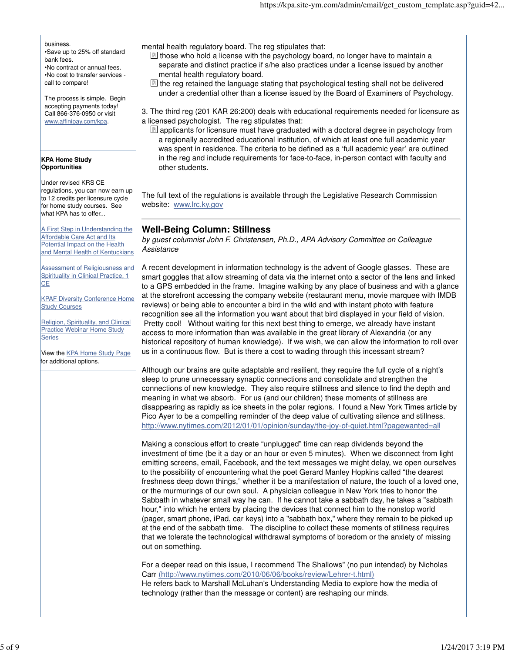business.

•Save up to 25% off standard bank fees. •No contract or annual fees. •No cost to transfer services call to compare!

The process is simple. Begin accepting payments today! Call 866-376-0950 or visit www.affinipay.com/kpa.

#### **KPA Home Study Opportunities**

Under revised KRS CE regulations, you can now earn up to 12 credits per licensure cycle for home study courses. See what KPA has to offer...

A First Step in Understanding the Affordable Care Act and Its Potential Impact on the Health and Mental Health of Kentuckians

Assessment of Religiousness and Spirituality in Clinical Practice, 1 **CE** 

KPAF Diversity Conference Home Study Courses

Religion, Spirituality, and Clinical Practice Webinar Home Study **Series** 

View the KPA Home Study Page for additional options.

mental health regulatory board. The reg stipulates that:

 $\mathbb{B}$  those who hold a license with the psychology board, no longer have to maintain a separate and distinct practice if s/he also practices under a license issued by another mental health regulatory board.

 $\mathbb{B}$  the reg retained the language stating that psychological testing shall not be delivered under a credential other than a license issued by the Board of Examiners of Psychology.

3. The third reg (201 KAR 26:200) deals with educational requirements needed for licensure as a licensed psychologist. The reg stipulates that:

 $\mathbb{B}$  applicants for licensure must have graduated with a doctoral degree in psychology from a regionally accredited educational institution, of which at least one full academic year was spent in residence. The criteria to be defined as a 'full academic year' are outlined in the reg and include requirements for face-to-face, in-person contact with faculty and other students.

The full text of the regulations is available through the Legislative Research Commission website: www.lrc.ky.gov

# **Well-Being Column: Stillness**

by guest columnist John F. Christensen, Ph.D., APA Advisory Committee on Colleague Assistance

A recent development in information technology is the advent of Google glasses. These are smart goggles that allow streaming of data via the internet onto a sector of the lens and linked to a GPS embedded in the frame. Imagine walking by any place of business and with a glance at the storefront accessing the company website (restaurant menu, movie marquee with IMDB reviews) or being able to encounter a bird in the wild and with instant photo with feature recognition see all the information you want about that bird displayed in your field of vision. Pretty cool! Without waiting for this next best thing to emerge, we already have instant access to more information than was available in the great library of Alexandria (or any historical repository of human knowledge). If we wish, we can allow the information to roll over us in a continuous flow. But is there a cost to wading through this incessant stream?

Although our brains are quite adaptable and resilient, they require the full cycle of a night's sleep to prune unnecessary synaptic connections and consolidate and strengthen the connections of new knowledge. They also require stillness and silence to find the depth and meaning in what we absorb. For us (and our children) these moments of stillness are disappearing as rapidly as ice sheets in the polar regions. I found a New York Times article by Pico Ayer to be a compelling reminder of the deep value of cultivating silence and stillness. http://www.nytimes.com/2012/01/01/opinion/sunday/the-joy-of-quiet.html?pagewanted=all

Making a conscious effort to create "unplugged" time can reap dividends beyond the investment of time (be it a day or an hour or even 5 minutes). When we disconnect from light emitting screens, email, Facebook, and the text messages we might delay, we open ourselves to the possibility of encountering what the poet Gerard Manley Hopkins called "the dearest freshness deep down things," whether it be a manifestation of nature, the touch of a loved one, or the murmurings of our own soul. A physician colleague in New York tries to honor the Sabbath in whatever small way he can. If he cannot take a sabbath day, he takes a "sabbath hour," into which he enters by placing the devices that connect him to the nonstop world (pager, smart phone, iPad, car keys) into a "sabbath box," where they remain to be picked up at the end of the sabbath time. The discipline to collect these moments of stillness requires that we tolerate the technological withdrawal symptoms of boredom or the anxiety of missing out on something.

For a deeper read on this issue, I recommend The Shallows" (no pun intended) by Nicholas Carr (http://www.nytimes.com/2010/06/06/books/review/Lehrer-t.html) He refers back to Marshall McLuhan's Understanding Media to explore how the media of technology (rather than the message or content) are reshaping our minds.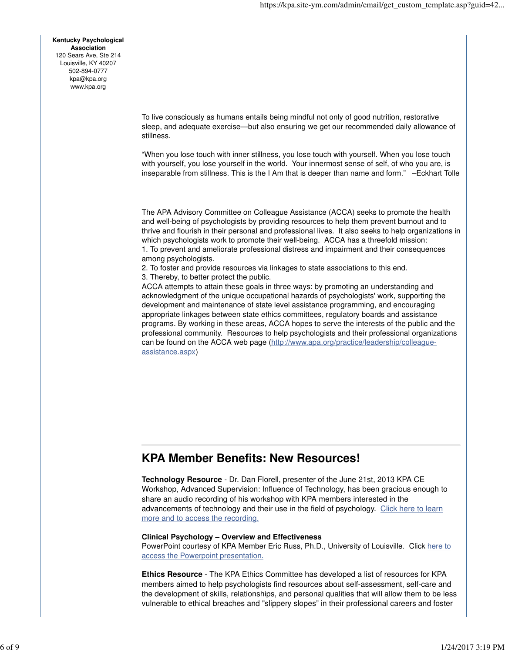**Kentucky Psychological Association** 120 Sears Ave, Ste 214 Louisville, KY 40207 502-894-0777 kpa@kpa.org www.kpa.org

> To live consciously as humans entails being mindful not only of good nutrition, restorative sleep, and adequate exercise—but also ensuring we get our recommended daily allowance of stillness.

> "When you lose touch with inner stillness, you lose touch with yourself. When you lose touch with yourself, you lose yourself in the world. Your innermost sense of self, of who you are, is inseparable from stillness. This is the I Am that is deeper than name and form." –Eckhart Tolle

> The APA Advisory Committee on Colleague Assistance (ACCA) seeks to promote the health and well-being of psychologists by providing resources to help them prevent burnout and to thrive and flourish in their personal and professional lives. It also seeks to help organizations in which psychologists work to promote their well-being. ACCA has a threefold mission: 1. To prevent and ameliorate professional distress and impairment and their consequences among psychologists.

2. To foster and provide resources via linkages to state associations to this end.

3. Thereby, to better protect the public.

ACCA attempts to attain these goals in three ways: by promoting an understanding and acknowledgment of the unique occupational hazards of psychologists' work, supporting the development and maintenance of state level assistance programming, and encouraging appropriate linkages between state ethics committees, regulatory boards and assistance programs. By working in these areas, ACCA hopes to serve the interests of the public and the professional community. Resources to help psychologists and their professional organizations can be found on the ACCA web page (http://www.apa.org/practice/leadership/colleagueassistance.aspx)

# **KPA Member Benefits: New Resources!**

**Technology Resource** - Dr. Dan Florell, presenter of the June 21st, 2013 KPA CE Workshop, Advanced Supervision: Influence of Technology, has been gracious enough to share an audio recording of his workshop with KPA members interested in the advancements of technology and their use in the field of psychology. Click here to learn more and to access the recording.

#### **Clinical Psychology – Overview and Effectiveness**

PowerPoint courtesy of KPA Member Eric Russ, Ph.D., University of Louisville. Click here to access the Powerpoint presentation.

**Ethics Resource** - The KPA Ethics Committee has developed a list of resources for KPA members aimed to help psychologists find resources about self-assessment, self-care and the development of skills, relationships, and personal qualities that will allow them to be less vulnerable to ethical breaches and "slippery slopes" in their professional careers and foster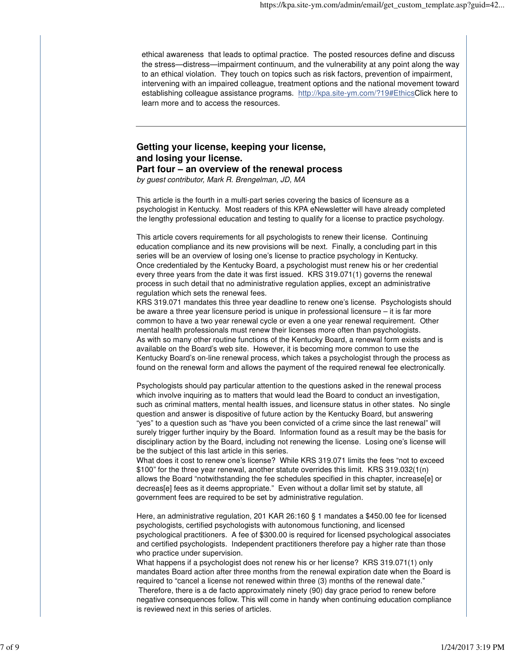ethical awareness that leads to optimal practice. The posted resources define and discuss the stress—distress—impairment continuum, and the vulnerability at any point along the way to an ethical violation. They touch on topics such as risk factors, prevention of impairment, intervening with an impaired colleague, treatment options and the national movement toward establishing colleague assistance programs. http://kpa.site-ym.com/?19#EthicsClick here to learn more and to access the resources.

### **Getting your license, keeping your license, and losing your license. Part four – an overview of the renewal process**

by guest contributor, Mark R. Brengelman, JD, MA

This article is the fourth in a multi-part series covering the basics of licensure as a psychologist in Kentucky. Most readers of this KPA eNewsletter will have already completed the lengthy professional education and testing to qualify for a license to practice psychology.

This article covers requirements for all psychologists to renew their license. Continuing education compliance and its new provisions will be next. Finally, a concluding part in this series will be an overview of losing one's license to practice psychology in Kentucky. Once credentialed by the Kentucky Board, a psychologist must renew his or her credential every three years from the date it was first issued. KRS 319.071(1) governs the renewal process in such detail that no administrative regulation applies, except an administrative regulation which sets the renewal fees.

KRS 319.071 mandates this three year deadline to renew one's license. Psychologists should be aware a three year licensure period is unique in professional licensure – it is far more common to have a two year renewal cycle or even a one year renewal requirement. Other mental health professionals must renew their licenses more often than psychologists. As with so many other routine functions of the Kentucky Board, a renewal form exists and is available on the Board's web site. However, it is becoming more common to use the Kentucky Board's on-line renewal process, which takes a psychologist through the process as found on the renewal form and allows the payment of the required renewal fee electronically.

Psychologists should pay particular attention to the questions asked in the renewal process which involve inquiring as to matters that would lead the Board to conduct an investigation, such as criminal matters, mental health issues, and licensure status in other states. No single question and answer is dispositive of future action by the Kentucky Board, but answering "yes" to a question such as "have you been convicted of a crime since the last renewal" will surely trigger further inquiry by the Board. Information found as a result may be the basis for disciplinary action by the Board, including not renewing the license. Losing one's license will be the subject of this last article in this series.

What does it cost to renew one's license? While KRS 319.071 limits the fees "not to exceed \$100" for the three year renewal, another statute overrides this limit. KRS 319.032(1(n) allows the Board "notwithstanding the fee schedules specified in this chapter, increase[e] or decreas[e] fees as it deems appropriate." Even without a dollar limit set by statute, all government fees are required to be set by administrative regulation.

Here, an administrative regulation, 201 KAR 26:160 § 1 mandates a \$450.00 fee for licensed psychologists, certified psychologists with autonomous functioning, and licensed psychological practitioners. A fee of \$300.00 is required for licensed psychological associates and certified psychologists. Independent practitioners therefore pay a higher rate than those who practice under supervision.

What happens if a psychologist does not renew his or her license? KRS 319.071(1) only mandates Board action after three months from the renewal expiration date when the Board is required to "cancel a license not renewed within three (3) months of the renewal date." Therefore, there is a de facto approximately ninety (90) day grace period to renew before negative consequences follow. This will come in handy when continuing education compliance is reviewed next in this series of articles.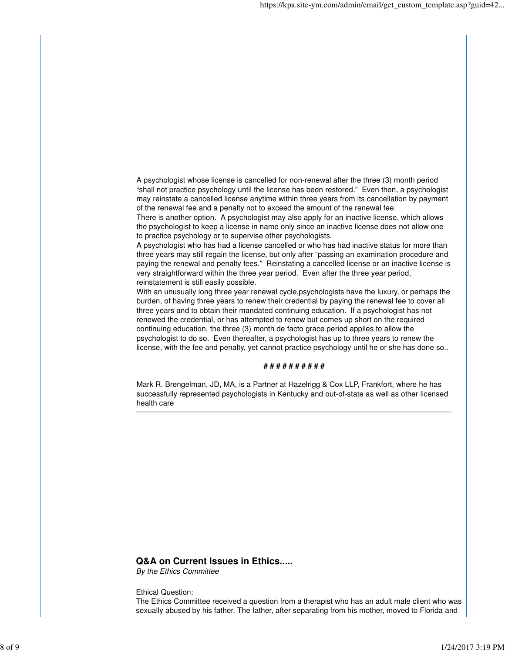A psychologist whose license is cancelled for non-renewal after the three (3) month period "shall not practice psychology until the license has been restored." Even then, a psychologist may reinstate a cancelled license anytime within three years from its cancellation by payment of the renewal fee and a penalty not to exceed the amount of the renewal fee.

There is another option. A psychologist may also apply for an inactive license, which allows the psychologist to keep a license in name only since an inactive license does not allow one to practice psychology or to supervise other psychologists.

A psychologist who has had a license cancelled or who has had inactive status for more than three years may still regain the license, but only after "passing an examination procedure and paying the renewal and penalty fees." Reinstating a cancelled license or an inactive license is very straightforward within the three year period. Even after the three year period, reinstatement is still easily possible.

With an unusually long three year renewal cycle,psychologists have the luxury, or perhaps the burden, of having three years to renew their credential by paying the renewal fee to cover all three years and to obtain their mandated continuing education. If a psychologist has not renewed the credential, or has attempted to renew but comes up short on the required continuing education, the three (3) month de facto grace period applies to allow the psychologist to do so. Even thereafter, a psychologist has up to three years to renew the license, with the fee and penalty, yet cannot practice psychology until he or she has done so..

### **# # # # # # # # # #**

Mark R. Brengelman, JD, MA, is a Partner at Hazelrigg & Cox LLP, Frankfort, where he has successfully represented psychologists in Kentucky and out-of-state as well as other licensed health care

### **Q&A on Current Issues in Ethics.....**

By the Ethics Committee

#### Ethical Question:

The Ethics Committee received a question from a therapist who has an adult male client who was sexually abused by his father. The father, after separating from his mother, moved to Florida and